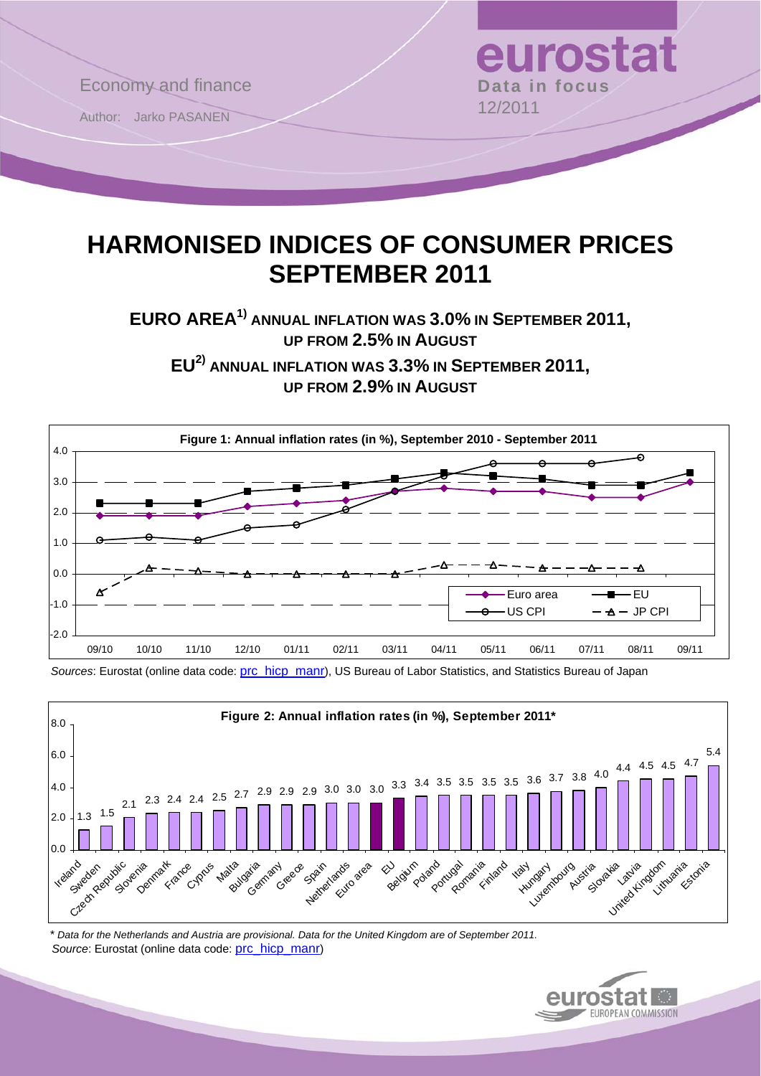

# **HARMONISED INDICES OF CONSUMER PRICES SEPTEMBER 2011**

EURO AREA<sup>1)</sup> ANNUAL INFLATION WAS 3.0% IN SEPTEMBER 2011, **UP FROM 2.5% IN AUGUST**

**EU2) ANNUAL INFLATION WAS 3.3% IN SEPTEMBER 2011, UP FROM 2.9% IN AUGUST**



*Sources*: Eurostat (online data code: [prc\\_hicp\\_manr](http://ec.europa.eu/eurostat/product?code=prc_hicp_manr&mode=view)), US Bureau of Labor Statistics, and Statistics Bureau of Japan



 *\* Data for the Netherlands and Austria are provisional. Data for the United Kingdom are of September 2011. Source*: Eurostat (online data code: [prc\\_hicp\\_manr\)](http://ec.europa.eu/eurostat/product?code=prc_hicp_manr&mode=view)

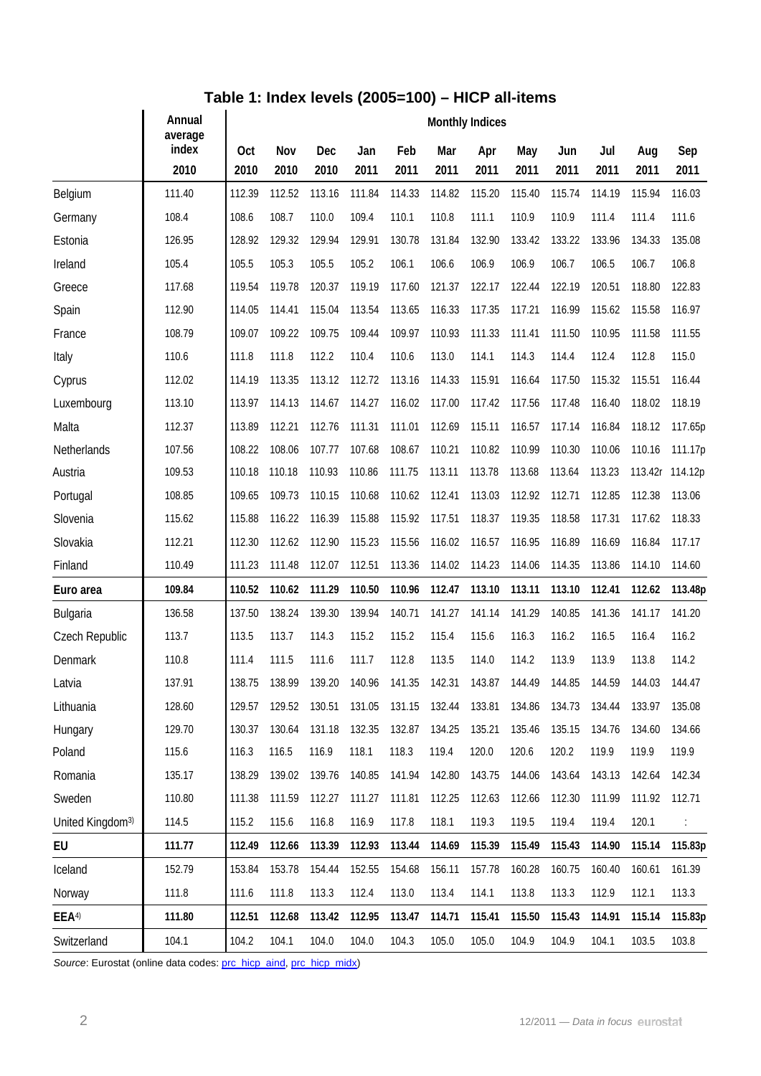## **Table 1: Index levels (2005=100) – HICP all-items**

|                              | Annual<br>average | <b>Monthly Indices</b> |        |        |        |        |        |        |        |        |        |         |         |  |
|------------------------------|-------------------|------------------------|--------|--------|--------|--------|--------|--------|--------|--------|--------|---------|---------|--|
|                              | index             | Oct                    | Nov    | Dec    | Jan    | Feb    | Mar    | Apr    | May    | Jun    | Jul    | Aug     | Sep     |  |
|                              | 2010              | 2010                   | 2010   | 2010   | 2011   | 2011   | 2011   | 2011   | 2011   | 2011   | 2011   | 2011    | 2011    |  |
| Belgium                      | 111.40            | 112.39                 | 112.52 | 113.16 | 111.84 | 114.33 | 114.82 | 115.20 | 115.40 | 115.74 | 114.19 | 115.94  | 116.03  |  |
| Germany                      | 108.4             | 108.6                  | 108.7  | 110.0  | 109.4  | 110.1  | 110.8  | 111.1  | 110.9  | 110.9  | 111.4  | 111.4   | 111.6   |  |
| Estonia                      | 126.95            | 128.92                 | 129.32 | 129.94 | 129.91 | 130.78 | 131.84 | 132.90 | 133.42 | 133.22 | 133.96 | 134.33  | 135.08  |  |
| Ireland                      | 105.4             | 105.5                  | 105.3  | 105.5  | 105.2  | 106.1  | 106.6  | 106.9  | 106.9  | 106.7  | 106.5  | 106.7   | 106.8   |  |
| Greece                       | 117.68            | 119.54                 | 119.78 | 120.37 | 119.19 | 117.60 | 121.37 | 122.17 | 122.44 | 122.19 | 120.51 | 118.80  | 122.83  |  |
| Spain                        | 112.90            | 114.05                 | 114.41 | 115.04 | 113.54 | 113.65 | 116.33 | 117.35 | 117.21 | 116.99 | 115.62 | 115.58  | 116.97  |  |
| France                       | 108.79            | 109.07                 | 109.22 | 109.75 | 109.44 | 109.97 | 110.93 | 111.33 | 111.41 | 111.50 | 110.95 | 111.58  | 111.55  |  |
| Italy                        | 110.6             | 111.8                  | 111.8  | 112.2  | 110.4  | 110.6  | 113.0  | 114.1  | 114.3  | 114.4  | 112.4  | 112.8   | 115.0   |  |
| Cyprus                       | 112.02            | 114.19                 | 113.35 | 113.12 | 112.72 | 113.16 | 114.33 | 115.91 | 116.64 | 117.50 | 115.32 | 115.51  | 116.44  |  |
| Luxembourg                   | 113.10            | 113.97                 | 114.13 | 114.67 | 114.27 | 116.02 | 117.00 | 117.42 | 117.56 | 117.48 | 116.40 | 118.02  | 118.19  |  |
| Malta                        | 112.37            | 113.89                 | 112.21 | 112.76 | 111.31 | 111.01 | 112.69 | 115.11 | 116.57 | 117.14 | 116.84 | 118.12  | 117.65p |  |
| Netherlands                  | 107.56            | 108.22                 | 108.06 | 107.77 | 107.68 | 108.67 | 110.21 | 110.82 | 110.99 | 110.30 | 110.06 | 110.16  | 111.17p |  |
| Austria                      | 109.53            | 110.18                 | 110.18 | 110.93 | 110.86 | 111.75 | 113.11 | 113.78 | 113.68 | 113.64 | 113.23 | 113.42r | 114.12p |  |
| Portugal                     | 108.85            | 109.65                 | 109.73 | 110.15 | 110.68 | 110.62 | 112.41 | 113.03 | 112.92 | 112.71 | 112.85 | 112.38  | 113.06  |  |
| Slovenia                     | 115.62            | 115.88                 | 116.22 | 116.39 | 115.88 | 115.92 | 117.51 | 118.37 | 119.35 | 118.58 | 117.31 | 117.62  | 118.33  |  |
| Slovakia                     | 112.21            | 112.30                 | 112.62 | 112.90 | 115.23 | 115.56 | 116.02 | 116.57 | 116.95 | 116.89 | 116.69 | 116.84  | 117.17  |  |
| Finland                      | 110.49            | 111.23                 | 111.48 | 112.07 | 112.51 | 113.36 | 114.02 | 114.23 | 114.06 | 114.35 | 113.86 | 114.10  | 114.60  |  |
| Euro area                    | 109.84            | 110.52                 | 110.62 | 111.29 | 110.50 | 110.96 | 112.47 | 113.10 | 113.11 | 113.10 | 112.41 | 112.62  | 113.48p |  |
| Bulgaria                     | 136.58            | 137.50                 | 138.24 | 139.30 | 139.94 | 140.71 | 141.27 | 141.14 | 141.29 | 140.85 | 141.36 | 141.17  | 141.20  |  |
| Czech Republic               | 113.7             | 113.5                  | 113.7  | 114.3  | 115.2  | 115.2  | 115.4  | 115.6  | 116.3  | 116.2  | 116.5  | 116.4   | 116.2   |  |
| Denmark                      | 110.8             | 111.4                  | 111.5  | 111.6  | 111.7  | 112.8  | 113.5  | 114.0  | 114.2  | 113.9  | 113.9  | 113.8   | 114.2   |  |
| Latvia                       | 137.91            | 138.75                 | 138.99 | 139.20 | 140.96 | 141.35 | 142.31 | 143.87 | 144.49 | 144.85 | 144.59 | 144.03  | 144.47  |  |
| Lithuania                    | 128.60            | 129.57                 | 129.52 | 130.51 | 131.05 | 131.15 | 132.44 | 133.81 | 134.86 | 134.73 | 134.44 | 133.97  | 135.08  |  |
| Hungary                      | 129.70            | 130.37                 | 130.64 | 131.18 | 132.35 | 132.87 | 134.25 | 135.21 | 135.46 | 135.15 | 134.76 | 134.60  | 134.66  |  |
| Poland                       | 115.6             | 116.3                  | 116.5  | 116.9  | 118.1  | 118.3  | 119.4  | 120.0  | 120.6  | 120.2  | 119.9  | 119.9   | 119.9   |  |
| Romania                      | 135.17            | 138.29                 | 139.02 | 139.76 | 140.85 | 141.94 | 142.80 | 143.75 | 144.06 | 143.64 | 143.13 | 142.64  | 142.34  |  |
| Sweden                       | 110.80            | 111.38                 | 111.59 | 112.27 | 111.27 | 111.81 | 112.25 | 112.63 | 112.66 | 112.30 | 111.99 | 111.92  | 112.71  |  |
| United Kingdom <sup>3)</sup> | 114.5             | 115.2                  | 115.6  | 116.8  | 116.9  | 117.8  | 118.1  | 119.3  | 119.5  | 119.4  | 119.4  | 120.1   | ÷       |  |
| EU                           | 111.77            | 112.49                 | 112.66 | 113.39 | 112.93 | 113.44 | 114.69 | 115.39 | 115.49 | 115.43 | 114.90 | 115.14  | 115.83p |  |
| Iceland                      | 152.79            | 153.84                 | 153.78 | 154.44 | 152.55 | 154.68 | 156.11 | 157.78 | 160.28 | 160.75 | 160.40 | 160.61  | 161.39  |  |
| Norway                       | 111.8             | 111.6                  | 111.8  | 113.3  | 112.4  | 113.0  | 113.4  | 114.1  | 113.8  | 113.3  | 112.9  | 112.1   | 113.3   |  |
| EEA <sup>4</sup>             | 111.80            | 112.51                 | 112.68 | 113.42 | 112.95 | 113.47 | 114.71 | 115.41 | 115.50 | 115.43 | 114.91 | 115.14  | 115.83p |  |
| Switzerland                  | 104.1             | 104.2                  | 104.1  | 104.0  | 104.0  | 104.3  | 105.0  | 105.0  | 104.9  | 104.9  | 104.1  | 103.5   | 103.8   |  |

Source: Eurostat (online data codes: [prc\\_hicp\\_aind](http://ec.europa.eu/eurostat/product?code=prc_hicp_aind&mode=view), [prc\\_hicp\\_midx](http://ec.europa.eu/eurostat/product?code=prc_hicp_midx&mode=view))

 $\overline{a}$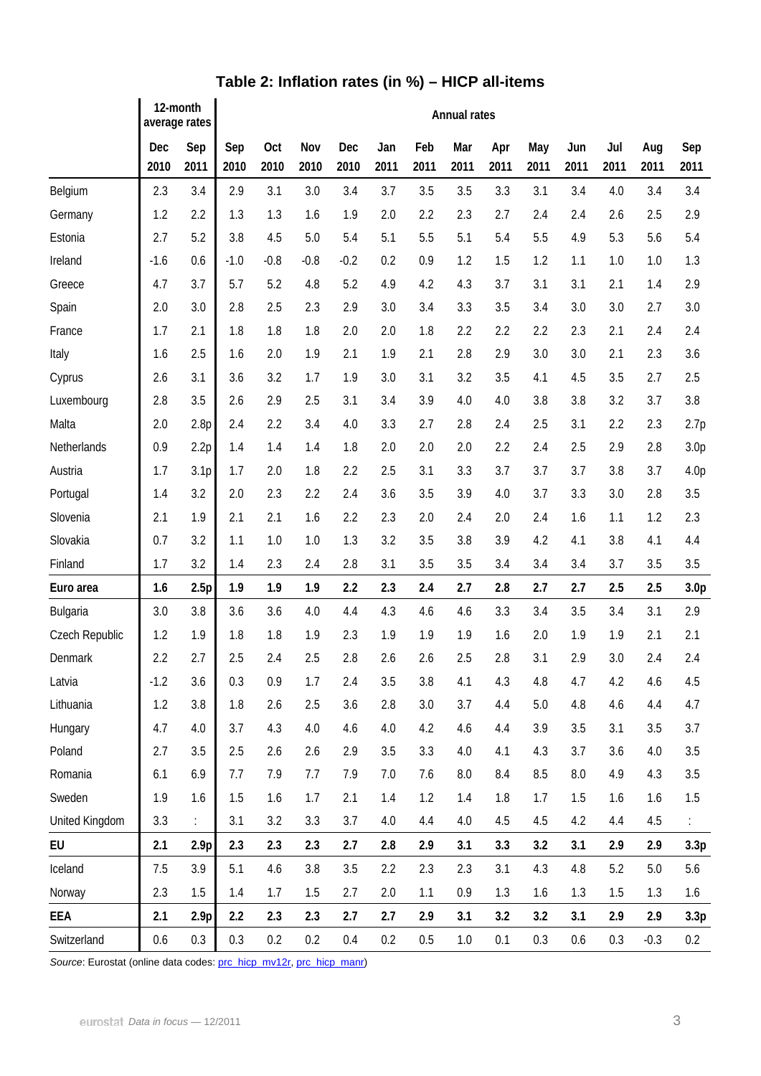|                | 12-month<br>average rates |                           | <b>Annual rates</b> |             |             |             |             |             |             |             |             |             |             |             |                  |
|----------------|---------------------------|---------------------------|---------------------|-------------|-------------|-------------|-------------|-------------|-------------|-------------|-------------|-------------|-------------|-------------|------------------|
|                | Dec<br>2010               | Sep<br>2011               | Sep<br>2010         | Oct<br>2010 | Nov<br>2010 | Dec<br>2010 | Jan<br>2011 | Feb<br>2011 | Mar<br>2011 | Apr<br>2011 | May<br>2011 | Jun<br>2011 | Jul<br>2011 | Aug<br>2011 | Sep<br>2011      |
| Belgium        | 2.3                       | 3.4                       | 2.9                 | 3.1         | 3.0         | 3.4         | 3.7         | 3.5         | 3.5         | 3.3         | 3.1         | 3.4         | 4.0         | 3.4         | 3.4              |
| Germany        | 1.2                       | 2.2                       | 1.3                 | 1.3         | 1.6         | 1.9         | 2.0         | 2.2         | 2.3         | 2.7         | 2.4         | 2.4         | 2.6         | 2.5         | 2.9              |
| Estonia        | 2.7                       | 5.2                       | 3.8                 | 4.5         | 5.0         | 5.4         | 5.1         | 5.5         | 5.1         | 5.4         | 5.5         | 4.9         | 5.3         | 5.6         | 5.4              |
| Ireland        | $-1.6$                    | 0.6                       | $-1.0$              | $-0.8$      | $-0.8$      | $-0.2$      | 0.2         | 0.9         | 1.2         | 1.5         | 1.2         | 1.1         | 1.0         | 1.0         | 1.3              |
| Greece         | 4.7                       | 3.7                       | 5.7                 | 5.2         | 4.8         | 5.2         | 4.9         | 4.2         | 4.3         | 3.7         | 3.1         | 3.1         | 2.1         | 1.4         | 2.9              |
| Spain          | 2.0                       | 3.0                       | 2.8                 | 2.5         | 2.3         | 2.9         | 3.0         | 3.4         | 3.3         | 3.5         | 3.4         | 3.0         | 3.0         | 2.7         | 3.0              |
| France         | 1.7                       | 2.1                       | 1.8                 | 1.8         | 1.8         | 2.0         | 2.0         | 1.8         | 2.2         | 2.2         | 2.2         | 2.3         | 2.1         | 2.4         | 2.4              |
| Italy          | 1.6                       | 2.5                       | 1.6                 | 2.0         | 1.9         | 2.1         | 1.9         | 2.1         | 2.8         | 2.9         | 3.0         | 3.0         | 2.1         | 2.3         | 3.6              |
| Cyprus         | 2.6                       | 3.1                       | 3.6                 | 3.2         | 1.7         | 1.9         | 3.0         | 3.1         | 3.2         | 3.5         | 4.1         | 4.5         | 3.5         | 2.7         | 2.5              |
| Luxembourg     | 2.8                       | 3.5                       | 2.6                 | 2.9         | 2.5         | 3.1         | 3.4         | 3.9         | 4.0         | 4.0         | 3.8         | 3.8         | 3.2         | 3.7         | 3.8              |
| Malta          | 2.0                       | 2.8p                      | 2.4                 | 2.2         | 3.4         | 4.0         | 3.3         | 2.7         | 2.8         | 2.4         | 2.5         | 3.1         | 2.2         | 2.3         | 2.7p             |
| Netherlands    | 0.9                       | 2.2p                      | 1.4                 | 1.4         | 1.4         | 1.8         | 2.0         | 2.0         | 2.0         | 2.2         | 2.4         | 2.5         | 2.9         | 2.8         | 3.0 <sub>p</sub> |
| Austria        | 1.7                       | 3.1p                      | 1.7                 | 2.0         | 1.8         | 2.2         | 2.5         | 3.1         | 3.3         | 3.7         | 3.7         | 3.7         | 3.8         | 3.7         | 4.0p             |
| Portugal       | 1.4                       | 3.2                       | 2.0                 | 2.3         | 2.2         | 2.4         | 3.6         | 3.5         | 3.9         | 4.0         | 3.7         | 3.3         | 3.0         | 2.8         | 3.5              |
| Slovenia       | 2.1                       | 1.9                       | 2.1                 | 2.1         | 1.6         | 2.2         | 2.3         | 2.0         | 2.4         | 2.0         | 2.4         | 1.6         | 1.1         | 1.2         | 2.3              |
| Slovakia       | 0.7                       | 3.2                       | 1.1                 | 1.0         | 1.0         | 1.3         | 3.2         | 3.5         | 3.8         | 3.9         | 4.2         | 4.1         | 3.8         | 4.1         | 4.4              |
| Finland        | 1.7                       | 3.2                       | 1.4                 | 2.3         | 2.4         | 2.8         | 3.1         | 3.5         | 3.5         | 3.4         | 3.4         | 3.4         | 3.7         | 3.5         | 3.5              |
| Euro area      | 1.6                       | 2.5p                      | 1.9                 | 1.9         | 1.9         | 2.2         | 2.3         | 2.4         | 2.7         | 2.8         | 2.7         | 2.7         | 2.5         | 2.5         | 3.0 <sub>p</sub> |
| Bulgaria       | 3.0                       | 3.8                       | 3.6                 | 3.6         | 4.0         | 4.4         | 4.3         | 4.6         | 4.6         | 3.3         | 3.4         | 3.5         | 3.4         | 3.1         | 2.9              |
| Czech Republic | 1.2                       | 1.9                       | 1.8                 | 1.8         | 1.9         | 2.3         | 1.9         | 1.9         | 1.9         | 1.6         | 2.0         | 1.9         | 1.9         | 2.1         | 2.1              |
| Denmark        | 2.2                       | 2.7                       | 2.5                 | 2.4         | 2.5         | 2.8         | 2.6         | 2.6         | 2.5         | 2.8         | 3.1         | 2.9         | 3.0         | 2.4         | 2.4              |
| Latvia         | $-1.2$                    | 3.6                       | 0.3                 | 0.9         | 1.7         | 2.4         | 3.5         | 3.8         | 4.1         | 4.3         | 4.8         | 4.7         | 4.2         | 4.6         | 4.5              |
| Lithuania      | 1.2                       | 3.8                       | 1.8                 | 2.6         | 2.5         | 3.6         | 2.8         | 3.0         | 3.7         | 4.4         | 5.0         | 4.8         | 4.6         | 4.4         | 4.7              |
| Hungary        | 4.7                       | 4.0                       | 3.7                 | 4.3         | 4.0         | 4.6         | 4.0         | 4.2         | 4.6         | 4.4         | 3.9         | 3.5         | 3.1         | 3.5         | 3.7              |
| Poland         | 2.7                       | 3.5                       | 2.5                 | 2.6         | 2.6         | 2.9         | 3.5         | 3.3         | 4.0         | 4.1         | 4.3         | 3.7         | 3.6         | 4.0         | 3.5              |
| Romania        | 6.1                       | 6.9                       | 7.7                 | 7.9         | 7.7         | 7.9         | 7.0         | 7.6         | 8.0         | 8.4         | 8.5         | 8.0         | 4.9         | 4.3         | 3.5              |
| Sweden         | 1.9                       | 1.6                       | 1.5                 | 1.6         | 1.7         | 2.1         | 1.4         | 1.2         | 1.4         | 1.8         | 1.7         | 1.5         | 1.6         | 1.6         | 1.5              |
| United Kingdom | 3.3                       | $\mathbb{R}^{\mathbb{Z}}$ | 3.1                 | 3.2         | 3.3         | 3.7         | 4.0         | 4.4         | 4.0         | 4.5         | 4.5         | 4.2         | 4.4         | 4.5         |                  |
| EU             | 2.1                       | 2.9 <sub>p</sub>          | 2.3                 | 2.3         | 2.3         | 2.7         | 2.8         | 2.9         | 3.1         | 3.3         | 3.2         | 3.1         | 2.9         | 2.9         | 3.3p             |
| Iceland        | 7.5                       | 3.9                       | 5.1                 | 4.6         | 3.8         | 3.5         | 2.2         | 2.3         | 2.3         | 3.1         | 4.3         | 4.8         | 5.2         | 5.0         | 5.6              |
| Norway         | 2.3                       | 1.5                       | 1.4                 | 1.7         | 1.5         | 2.7         | 2.0         | 1.1         | 0.9         | 1.3         | 1.6         | 1.3         | 1.5         | 1.3         | 1.6              |
| EEA            | 2.1                       | 2.9 <sub>p</sub>          | 2.2                 | 2.3         | 2.3         | 2.7         | 2.7         | 2.9         | 3.1         | 3.2         | 3.2         | 3.1         | 2.9         | 2.9         | 3.3p             |
| Switzerland    | 0.6                       | $0.3\,$                   | 0.3                 | 0.2         | 0.2         | 0.4         | 0.2         | 0.5         | 1.0         | 0.1         | 0.3         | 0.6         | 0.3         | $-0.3$      | 0.2              |

## **Table 2: Inflation rates (in %) – HICP all-items**

Source: Eurostat (online data codes: [prc\\_hicp\\_mv12r,](http://ec.europa.eu/eurostat/product?code=prc_hicp_mv12r&mode=view) [prc\\_hicp\\_manr](http://ec.europa.eu/eurostat/product?code=prc_hicp_manr&mode=view))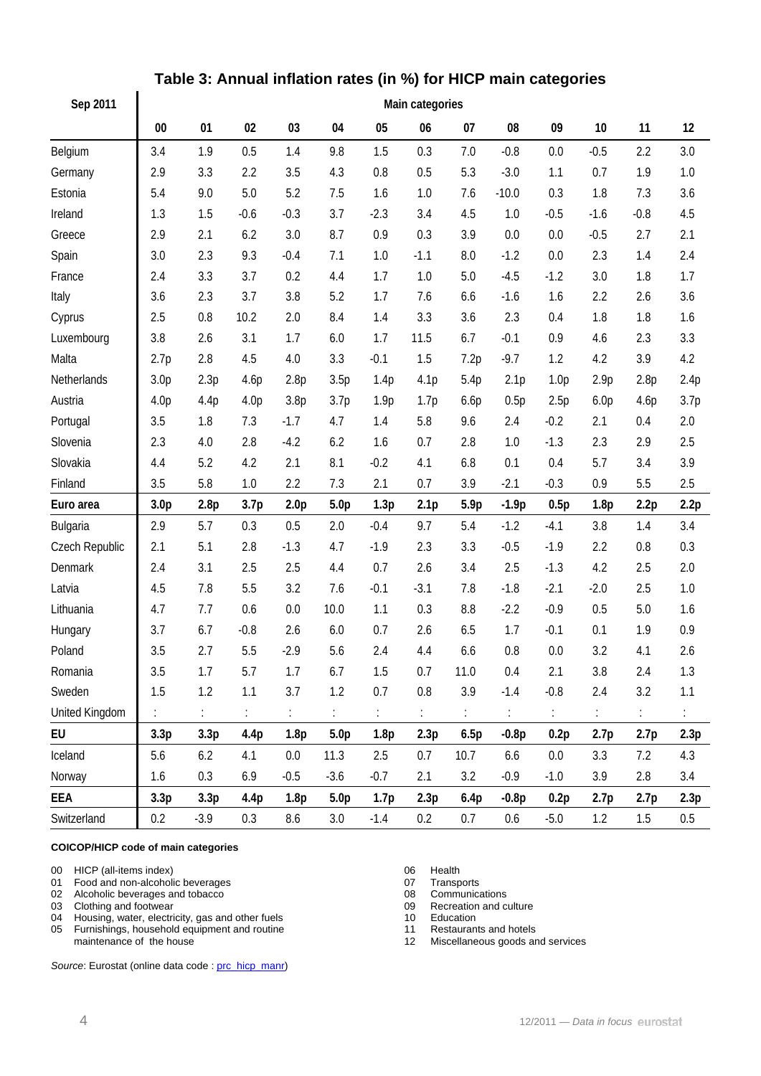| Sep 2011       |                  |         |                  |                  |                  |        |                            |      |                |                  |                  |                  |      |
|----------------|------------------|---------|------------------|------------------|------------------|--------|----------------------------|------|----------------|------------------|------------------|------------------|------|
|                | $00\,$           | 01      | 02               | 03               | 04               | 05     | 06                         | 07   | 08             | 09               | 10               | 11               | 12   |
| Belgium        | 3.4              | 1.9     | 0.5              | 1.4              | 9.8              | 1.5    | 0.3                        | 7.0  | $-0.8$         | 0.0              | $-0.5$           | 2.2              | 3.0  |
| Germany        | 2.9              | 3.3     | 2.2              | 3.5              | 4.3              | 0.8    | 0.5                        | 5.3  | $-3.0$         | 1.1              | 0.7              | 1.9              | 1.0  |
| Estonia        | 5.4              | 9.0     | 5.0              | 5.2              | 7.5              | 1.6    | 1.0                        | 7.6  | $-10.0$        | 0.3              | 1.8              | 7.3              | 3.6  |
| Ireland        | 1.3              | 1.5     | $-0.6$           | $-0.3$           | 3.7              | $-2.3$ | 3.4                        | 4.5  | 1.0            | $-0.5$           | $-1.6$           | $-0.8$           | 4.5  |
| Greece         | 2.9              | 2.1     | 6.2              | 3.0              | 8.7              | 0.9    | 0.3                        | 3.9  | 0.0            | 0.0              | $-0.5$           | 2.7              | 2.1  |
| Spain          | 3.0              | 2.3     | 9.3              | $-0.4$           | 7.1              | 1.0    | $-1.1$                     | 8.0  | $-1.2$         | 0.0              | 2.3              | 1.4              | 2.4  |
| France         | 2.4              | 3.3     | 3.7              | 0.2              | 4.4              | 1.7    | 1.0                        | 5.0  | $-4.5$         | $-1.2$           | 3.0              | 1.8              | 1.7  |
| Italy          | 3.6              | 2.3     | 3.7              | 3.8              | 5.2              | 1.7    | 7.6                        | 6.6  | $-1.6$         | 1.6              | 2.2              | 2.6              | 3.6  |
| Cyprus         | 2.5              | 0.8     | 10.2             | 2.0              | 8.4              | 1.4    | 3.3                        | 3.6  | 2.3            | 0.4              | 1.8              | 1.8              | 1.6  |
| Luxembourg     | 3.8              | 2.6     | 3.1              | 1.7              | 6.0              | 1.7    | 11.5                       | 6.7  | $-0.1$         | 0.9              | 4.6              | 2.3              | 3.3  |
| Malta          | 2.7p             | 2.8     | 4.5              | 4.0              | 3.3              | $-0.1$ | 1.5                        | 7.2p | $-9.7$         | 1.2              | 4.2              | 3.9              | 4.2  |
| Netherlands    | 3.0 <sub>p</sub> | 2.3p    | 4.6p             | 2.8p             | 3.5p             | 1.4p   | 4.1p                       | 5.4p | 2.1p           | 1.0 <sub>p</sub> | 2.9p             | 2.8p             | 2.4p |
| Austria        | 4.0 <sub>p</sub> | 4.4p    | 4.0 <sub>p</sub> | 3.8p             | 3.7p             | 1.9p   | 1.7p                       | 6.6p | 0.5p           | 2.5p             | 6.0 <sub>p</sub> | 4.6p             | 3.7p |
| Portugal       | 3.5              | 1.8     | 7.3              | $-1.7$           | 4.7              | 1.4    | 5.8                        | 9.6  | 2.4            | $-0.2$           | 2.1              | 0.4              | 2.0  |
| Slovenia       | 2.3              | 4.0     | 2.8              | $-4.2$           | 6.2              | 1.6    | 0.7                        | 2.8  | 1.0            | $-1.3$           | 2.3              | 2.9              | 2.5  |
| Slovakia       | 4.4              | 5.2     | 4.2              | 2.1              | 8.1              | $-0.2$ | 4.1                        | 6.8  | 0.1            | 0.4              | 5.7              | 3.4              | 3.9  |
| Finland        | 3.5              | 5.8     | 1.0              | 2.2              | 7.3              | 2.1    | 0.7                        | 3.9  | $-2.1$         | $-0.3$           | 0.9              | 5.5              | 2.5  |
| Euro area      | 3.0 <sub>p</sub> | 2.8p    | 3.7 <sub>p</sub> | 2.0 <sub>p</sub> | 5.0 <sub>p</sub> | 1.3p   | 2.1 <sub>p</sub>           | 5.9p | $-1.9p$        | 0.5p             | 1.8 <sub>p</sub> | 2.2p             | 2.2p |
| Bulgaria       | 2.9              | 5.7     | 0.3              | 0.5              | 2.0              | $-0.4$ | 9.7                        | 5.4  | $-1.2$         | $-4.1$           | 3.8              | 1.4              | 3.4  |
| Czech Republic | 2.1              | 5.1     | 2.8              | $-1.3$           | 4.7              | $-1.9$ | 2.3                        | 3.3  | $-0.5$         | $-1.9$           | 2.2              | 0.8              | 0.3  |
| Denmark        | 2.4              | 3.1     | 2.5              | 2.5              | 4.4              | 0.7    | 2.6                        | 3.4  | 2.5            | $-1.3$           | 4.2              | 2.5              | 2.0  |
| Latvia         | 4.5              | 7.8     | 5.5              | 3.2              | 7.6              | $-0.1$ | $-3.1$                     | 7.8  | $-1.8$         | $-2.1$           | $-2.0$           | 2.5              | 1.0  |
| Lithuania      | 4.7              | 7.7     | 0.6              | 0.0              | 10.0             | 1.1    | 0.3                        | 8.8  | $-2.2$         | $-0.9$           | 0.5              | 5.0              | 1.6  |
| Hungary        | 3.7              | 6.7     | $-0.8$           | 2.6              | 6.0              | 0.7    | 2.6                        | 6.5  | 1.7            | $-0.1$           | 0.1              | 1.9              | 0.9  |
| Poland         | 3.5              | 2.7     | 5.5              | $-2.9$           | 5.6              | 2.4    | 4.4                        | 6.6  | 0.8            | 0.0              | 3.2              | 4.1              | 2.6  |
| Romania        | 3.5              | $1.7\,$ | 5.7              | 1.7              | 6.7              | 1.5    | 0.7                        | 11.0 | 0.4            | 2.1              | $3.8\,$          | 2.4              | 1.3  |
| Sweden         | 1.5              | 1.2     | 1.1              | 3.7              | 1.2              | 0.7    | $0.8\,$                    | 3.9  | $-1.4$         | $-0.8$           | 2.4              | 3.2              | 1.1  |
| United Kingdom | t.               | ÷.      | ÷.               | t.               | ÷.               | ÷.     | $\ddot{\ddot{\phantom{}}}$ | ÷.   | $\ddot{\cdot}$ | ÷.               | ÷,               | t.               | t.   |
| EU             | 3.3p             | 3.3p    | 4.4p             | 1.8 <sub>p</sub> | 5.0 <sub>p</sub> | 1.8p   | 2.3p                       | 6.5p | $-0.8p$        | 0.2p             | 2.7p             | 2.7 <sub>p</sub> | 2.3p |
| Iceland        | 5.6              | 6.2     | 4.1              | 0.0              | 11.3             | 2.5    | 0.7                        | 10.7 | 6.6            | 0.0              | 3.3              | 7.2              | 4.3  |
| Norway         | 1.6              | 0.3     | 6.9              | $-0.5$           | $-3.6$           | $-0.7$ | 2.1                        | 3.2  | $-0.9$         | $-1.0$           | 3.9              | 2.8              | 3.4  |
| EEA            | 3.3p             | 3.3p    | 4.4p             | 1.8p             | 5.0 <sub>p</sub> | 1.7p   | 2.3p                       | 6.4p | $-0.8p$        | 0.2p             | 2.7p             | 2.7 <sub>p</sub> | 2.3p |
| Switzerland    | 0.2              | $-3.9$  | 0.3              | 8.6              | 3.0              | $-1.4$ | 0.2                        | 0.7  | 0.6            | $-5.0$           | 1.2              | 1.5              | 0.5  |

## **Table 3: Annual inflation rates (in %) for HICP main categories**

#### **COICOP/HICP code of main categories**

- 00 HICP (all-items index)<br>
01 Food and non-alcoholic beverages<br>
07 Transports 01 Food and non-alcoholic beverages<br>
02 Alcoholic beverages and tobacco<br>
02 Alcoholic beverages and tobacco<br>
08 Communications
- 02 Alcoholic beverages and tobacco<br>
03 Clothing and footwear<br>
09 Recreation and culture
- 
- 03 Clothing and footwear 09 Recreation 04 Housing, water, electricity, gas and other fuels 09 09 Recreation 04 04 Housing, water, electricity, gas and other fuels 10 Education<br>
05 Furnishings, household equipment and routine 11 Restaurants and hotels
- 05 Furnishings, household equipment and routine maintenance of the house

Source: Eurostat (online data code : [prc\\_hicp\\_manr\)](http://ec.europa.eu/eurostat/product?code=prc_hicp_manr&mode=view)

- 
- 
- 
- 
- 
- 
- 12 Miscellaneous goods and services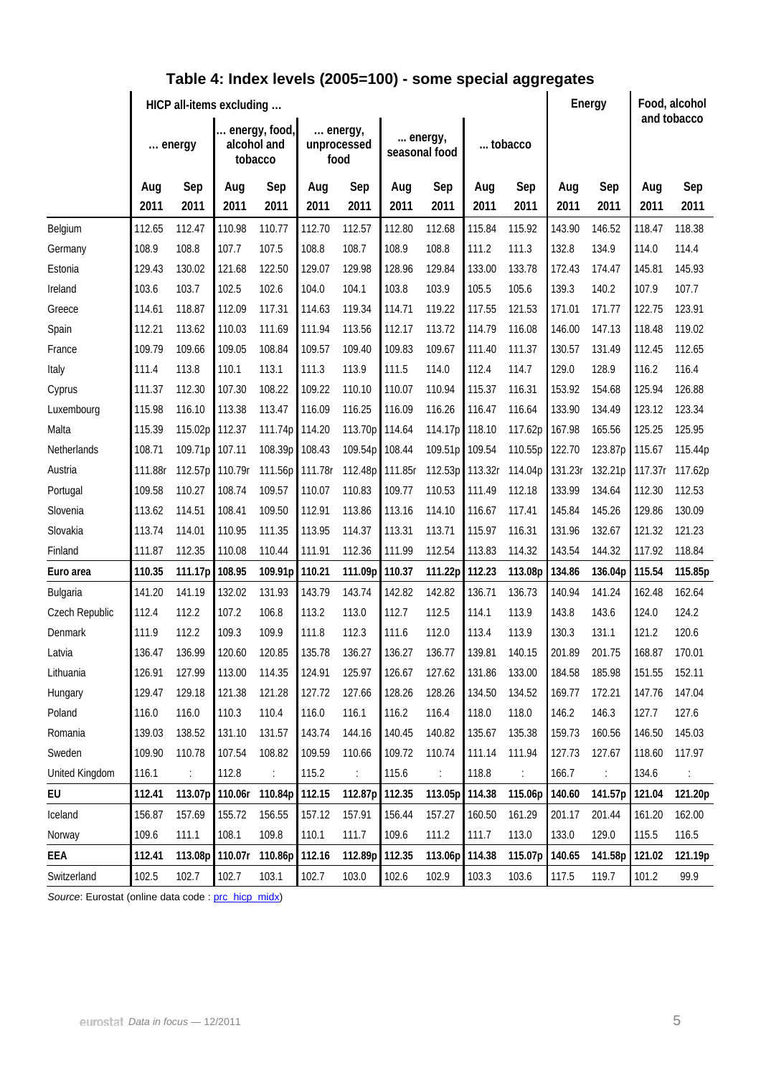|                    | HICP all-items excluding |                 |                                         |                 |                 |                                |                 |                          |                 |                 |                 | Energy          |                 | Food, alcohol<br>and tobacco |  |
|--------------------|--------------------------|-----------------|-----------------------------------------|-----------------|-----------------|--------------------------------|-----------------|--------------------------|-----------------|-----------------|-----------------|-----------------|-----------------|------------------------------|--|
|                    | energy                   |                 | energy, food,<br>alcohol and<br>tobacco |                 |                 | energy,<br>unprocessed<br>food |                 | energy,<br>seasonal food | tobacco         |                 |                 |                 |                 |                              |  |
|                    | Aug<br>2011              | Sep<br>2011     | Aug<br>2011                             | Sep<br>2011     | Aug<br>2011     | Sep<br>2011                    | Aug<br>2011     | Sep<br>2011              | Aug<br>2011     | Sep<br>2011     | Aug<br>2011     | Sep<br>2011     | Aug<br>2011     | Sep<br>2011                  |  |
|                    |                          |                 | 110.98                                  |                 |                 |                                |                 |                          |                 |                 |                 |                 |                 |                              |  |
| Belgium            | 112.65                   | 112.47<br>108.8 |                                         | 110.77<br>107.5 | 112.70          | 112.57<br>108.7                | 112.80<br>108.9 | 112.68<br>108.8          | 115.84          | 115.92          | 143.90          | 146.52<br>134.9 | 118.47          | 118.38<br>114.4              |  |
| Germany<br>Estonia | 108.9<br>129.43          | 130.02          | 107.7<br>121.68                         | 122.50          | 108.8<br>129.07 | 129.98                         | 128.96          | 129.84                   | 111.2<br>133.00 | 111.3<br>133.78 | 132.8<br>172.43 | 174.47          | 114.0<br>145.81 | 145.93                       |  |
| Ireland            | 103.6                    | 103.7           | 102.5                                   | 102.6           | 104.0           | 104.1                          | 103.8           | 103.9                    | 105.5           | 105.6           | 139.3           | 140.2           | 107.9           | 107.7                        |  |
| Greece             | 114.61                   | 118.87          | 112.09                                  | 117.31          | 114.63          | 119.34                         | 114.71          | 119.22                   | 117.55          | 121.53          | 171.01          | 171.77          | 122.75          | 123.91                       |  |
| Spain              | 112.21                   | 113.62          | 110.03                                  | 111.69          | 111.94          | 113.56                         | 112.17          | 113.72                   | 114.79          | 116.08          | 146.00          | 147.13          | 118.48          | 119.02                       |  |
| France             | 109.79                   | 109.66          | 109.05                                  | 108.84          | 109.57          | 109.40                         | 109.83          | 109.67                   | 111.40          | 111.37          | 130.57          | 131.49          | 112.45          | 112.65                       |  |
| Italy              | 111.4                    | 113.8           | 110.1                                   | 113.1           | 111.3           | 113.9                          | 111.5           | 114.0                    | 112.4           | 114.7           | 129.0           | 128.9           | 116.2           | 116.4                        |  |
| Cyprus             | 111.37                   | 112.30          | 107.30                                  | 108.22          | 109.22          | 110.10                         | 110.07          | 110.94                   | 115.37          | 116.31          | 153.92          | 154.68          | 125.94          | 126.88                       |  |
| Luxembourg         | 115.98                   | 116.10          | 113.38                                  | 113.47          | 116.09          | 116.25                         | 116.09          | 116.26                   | 116.47          | 116.64          | 133.90          | 134.49          | 123.12          | 123.34                       |  |
| Malta              | 115.39                   | 115.02p         | 112.37                                  | 111.74p         | 114.20          | 113.70p                        | 114.64          | 114.17p                  | 118.10          | 117.62p         | 167.98          | 165.56          | 125.25          | 125.95                       |  |
| Netherlands        | 108.71                   | 109.71p         | 107.11                                  | 108.39p         | 108.43          | 109.54p 108.44                 |                 | 109.51p                  | 109.54          | 110.55p         | 122.70          | 123.87p         | 115.67          | 115.44p                      |  |
| Austria            | 111.88r                  | 112.57p         | 110.79r                                 | 111.56p         | 111.78r         | 112.48p                        | 111.85r         | 112.53p                  | 113.32r         | 114.04p         | 131.23r         | 132.21p         | 117.37r         | 117.62p                      |  |
| Portugal           | 109.58                   | 110.27          | 108.74                                  | 109.57          | 110.07          | 110.83                         | 109.77          | 110.53                   | 111.49          | 112.18          | 133.99          | 134.64          | 112.30          | 112.53                       |  |
| Slovenia           | 113.62                   | 114.51          | 108.41                                  | 109.50          | 112.91          | 113.86                         | 113.16          | 114.10                   | 116.67          | 117.41          | 145.84          | 145.26          | 129.86          | 130.09                       |  |
| Slovakia           | 113.74                   | 114.01          | 110.95                                  | 111.35          | 113.95          | 114.37                         | 113.31          | 113.71                   | 115.97          | 116.31          | 131.96          | 132.67          | 121.32          | 121.23                       |  |
| Finland            | 111.87                   | 112.35          | 110.08                                  | 110.44          | 111.91          | 112.36                         | 111.99          | 112.54                   | 113.83          | 114.32          | 143.54          | 144.32          | 117.92          | 118.84                       |  |
| Euro area          | 110.35                   | 111.17p         | 108.95                                  | 109.91p         | 110.21          | 111.09p                        | 110.37          | 111.22p                  | 112.23          | 113.08p         | 134.86          | 136.04p         | 115.54          | 115.85p                      |  |
| Bulgaria           | 141.20                   | 141.19          | 132.02                                  | 131.93          | 143.79          | 143.74                         | 142.82          | 142.82                   | 136.71          | 136.73          | 140.94          | 141.24          | 162.48          | 162.64                       |  |
| Czech Republic     | 112.4                    | 112.2           | 107.2                                   | 106.8           | 113.2           | 113.0                          | 112.7           | 112.5                    | 114.1           | 113.9           | 143.8           | 143.6           | 124.0           | 124.2                        |  |
| Denmark            | 111.9                    | 112.2           | 109.3                                   | 109.9           | 111.8           | 112.3                          | 111.6           | 112.0                    | 113.4           | 113.9           | 130.3           | 131.1           | 121.2           | 120.6                        |  |
| Latvia             | 136.47                   | 136.99          | 120.60                                  | 120.85          | 135.78          | 136.27                         | 136.27          | 136.77                   | 139.81          | 140.15          | 201.89          | 201.75          | 168.87          | 170.01                       |  |
| Lithuania          | 126.91                   | 127.99          | 113.00                                  | 114.35          | 124.91          | 125.97                         | 126.67          | 127.62                   | 131.86          | 133.00          | 184.58          | 185.98          | 151.55          | 152.11                       |  |
| Hungary            | 129.47                   | 129.18          | 121.38                                  | 121.28          | 127.72          | 127.66                         | 128.26          | 128.26                   | 134.50          | 134.52          | 169.77          | 172.21          | 147.76          | 147.04                       |  |
| Poland             | 116.0                    | 116.0           | 110.3                                   | 110.4           | 116.0           | 116.1                          | 116.2           | 116.4                    | 118.0           | 118.0           | 146.2           | 146.3           | 127.7           | 127.6                        |  |
| Romania            | 139.03                   | 138.52          | 131.10                                  | 131.57          | 143.74          | 144.16                         | 140.45          | 140.82                   | 135.67          | 135.38          | 159.73          | 160.56          | 146.50          | 145.03                       |  |
| Sweden             | 109.90                   | 110.78          | 107.54                                  | 108.82          | 109.59          | 110.66                         | 109.72          | 110.74                   | 111.14          | 111.94          | 127.73          | 127.67          | 118.60          | 117.97                       |  |
| United Kingdom     | 116.1                    |                 | 112.8                                   |                 | 115.2           |                                | 115.6           |                          | 118.8           |                 | 166.7           | ÷               | 134.6           |                              |  |
| EU                 | 112.41                   | 113.07p         | 110.06r                                 | 110.84p         | 112.15          | 112.87p 112.35                 |                 | 113.05p                  | 114.38          | 115.06p         | 140.60          | 141.57p         | 121.04          | 121.20p                      |  |
| Iceland            | 156.87                   | 157.69          | 155.72                                  | 156.55          | 157.12          | 157.91                         | 156.44          | 157.27                   | 160.50          | 161.29          | 201.17          | 201.44          | 161.20          | 162.00                       |  |
| Norway             | 109.6                    | 111.1           | 108.1                                   | 109.8           | 110.1           | 111.7                          | 109.6           | 111.2                    | 111.7           | 113.0           | 133.0           | 129.0           | 115.5           | 116.5                        |  |
| EEA                | 112.41                   | 113.08p         | 110.07r                                 | 110.86p         | 112.16          | 112.89p 112.35                 |                 | 113.06p                  | 114.38          | 115.07p         | 140.65          | 141.58p         | 121.02          | 121.19p                      |  |
| Switzerland        | 102.5                    | 102.7           | 102.7                                   | 103.1           | 102.7           | 103.0                          | 102.6           | 102.9                    | 103.3           | 103.6           | 117.5           | 119.7           | 101.2           | 99.9                         |  |

## **Table 4: Index levels (2005=100) - some special aggregates**

Source: Eurostat (online data code : [prc\\_hicp\\_midx\)](http://ec.europa.eu/eurostat/product?code=prc_hicp_midx&mode=view)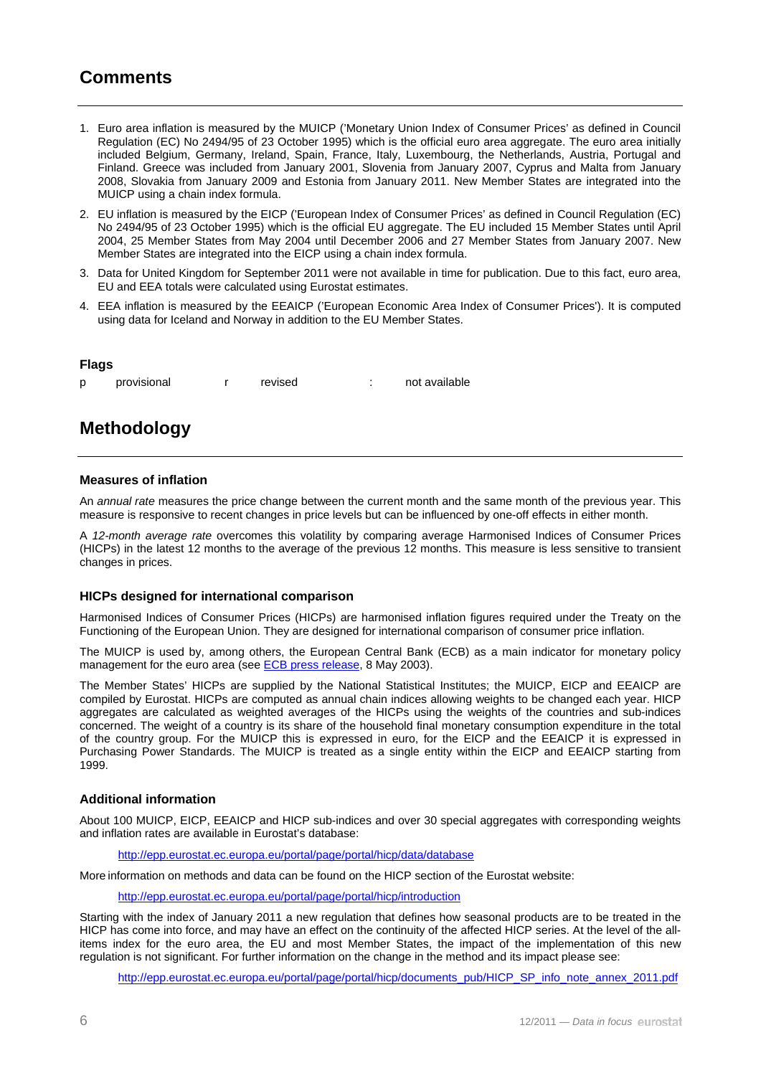### **Comments**

- 1. Euro area inflation is measured by the MUICP ('Monetary Union Index of Consumer Prices' as defined in Council Regulation (EC) No 2494/95 of 23 October 1995) which is the official euro area aggregate. The euro area initially included Belgium, Germany, Ireland, Spain, France, Italy, Luxembourg, the Netherlands, Austria, Portugal and Finland. Greece was included from January 2001, Slovenia from January 2007, Cyprus and Malta from January 2008, Slovakia from January 2009 and Estonia from January 2011. New Member States are integrated into the MUICP using a chain index formula.
- 2. EU inflation is measured by the EICP ('European Index of Consumer Prices' as defined in Council Regulation (EC) No 2494/95 of 23 October 1995) which is the official EU aggregate. The EU included 15 Member States until April 2004, 25 Member States from May 2004 until December 2006 and 27 Member States from January 2007. New Member States are integrated into the EICP using a chain index formula.
- 3. Data for United Kingdom for September 2011 were not available in time for publication. Due to this fact, euro area, EU and EEA totals were calculated using Eurostat estimates.
- 4. EEA inflation is measured by the EEAICP ('European Economic Area Index of Consumer Prices'). It is computed using data for Iceland and Norway in addition to the EU Member States.

#### **Flags**

p provisional r revised : not available

## **Methodology**

#### **Measures of inflation**

An *annual rate* measures the price change between the current month and the same month of the previous year. This measure is responsive to recent changes in price levels but can be influenced by one-off effects in either month.

A *12-month average rate* overcomes this volatility by comparing average Harmonised Indices of Consumer Prices (HICPs) in the latest 12 months to the average of the previous 12 months. This measure is less sensitive to transient changes in prices.

#### **HICPs designed for international comparison**

Harmonised Indices of Consumer Prices (HICPs) are harmonised inflation figures required under the Treaty on the Functioning of the European Union. They are designed for international comparison of consumer price inflation.

The MUICP is used by, among others, the European Central Bank (ECB) as a main indicator for monetary policy management for the euro area (see [ECB press release](http://www.ecb.int/press/pr/date/2003/html/pr030508_2.en.html), 8 May 2003).

The Member States' HICPs are supplied by the National Statistical Institutes; the MUICP, EICP and EEAICP are compiled by Eurostat. HICPs are computed as annual chain indices allowing weights to be changed each year. HICP aggregates are calculated as weighted averages of the HICPs using the weights of the countries and sub-indices concerned. The weight of a country is its share of the household final monetary consumption expenditure in the total of the country group. For the MUICP this is expressed in euro, for the EICP and the EEAICP it is expressed in Purchasing Power Standards. The MUICP is treated as a single entity within the EICP and EEAICP starting from 1999.

#### **Additional information**

About 100 MUICP, EICP, EEAICP and HICP sub-indices and over 30 special aggregates with corresponding weights and inflation rates are available in Eurostat's database:

<http://epp.eurostat.ec.europa.eu/portal/page/portal/hicp/data/database>

More information on methods and data can be found on the HICP section of the Eurostat website:

<http://epp.eurostat.ec.europa.eu/portal/page/portal/hicp/introduction>

Starting with the index of January 2011 a new regulation that defines how seasonal products are to be treated in the HICP has come into force, and may have an effect on the continuity of the affected HICP series. At the level of the allitems index for the euro area, the EU and most Member States, the impact of the implementation of this new regulation is not significant. For further information on the change in the method and its impact please see:

[http://epp.eurostat.ec.europa.eu/portal/page/portal/hicp/documents\\_pub/HICP\\_SP\\_info\\_note\\_annex\\_2011.pdf](http://epp.eurostat.ec.europa.eu/portal/page/portal/hicp/documents_pub/HICP_SP_info_note_annex_2011.pdf)